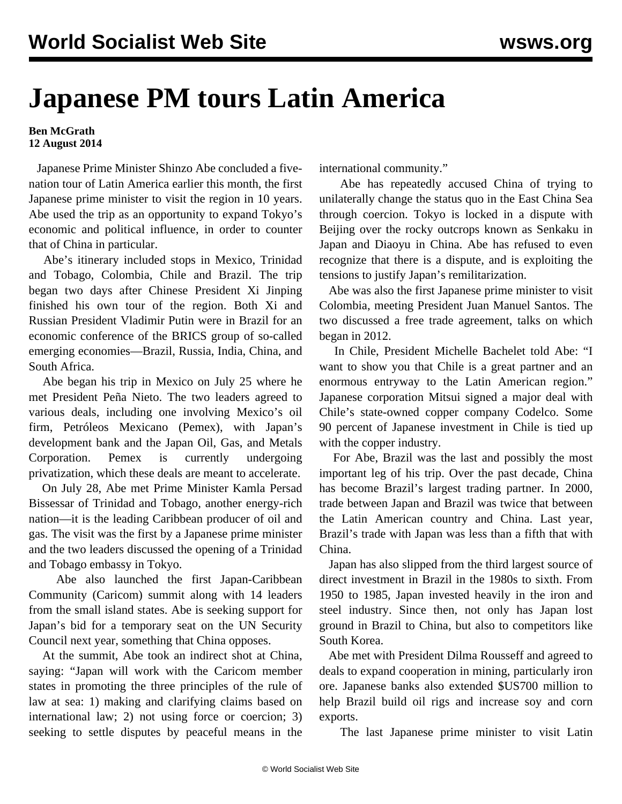## **Japanese PM tours Latin America**

**Ben McGrath 12 August 2014**

 Japanese Prime Minister Shinzo Abe concluded a fivenation tour of Latin America earlier this month, the first Japanese prime minister to visit the region in 10 years. Abe used the trip as an opportunity to expand Tokyo's economic and political influence, in order to counter that of China in particular.

 Abe's itinerary included stops in Mexico, Trinidad and Tobago, Colombia, Chile and Brazil. The trip began two days after Chinese President Xi Jinping finished his own tour of the region. Both Xi and Russian President Vladimir Putin were in Brazil for an economic conference of the BRICS group of so-called emerging economies—Brazil, Russia, India, China, and South Africa.

 Abe began his trip in Mexico on July 25 where he met President Peña Nieto. The two leaders agreed to various deals, including one involving Mexico's oil firm, Petróleos Mexicano (Pemex), with Japan's development bank and the Japan Oil, Gas, and Metals Corporation. Pemex is currently undergoing privatization, which these deals are meant to accelerate.

 On July 28, Abe met Prime Minister Kamla Persad Bissessar of Trinidad and Tobago, another energy-rich nation—it is the leading Caribbean producer of oil and gas. The visit was the first by a Japanese prime minister and the two leaders discussed the opening of a Trinidad and Tobago embassy in Tokyo.

 Abe also launched the first Japan-Caribbean Community (Caricom) summit along with 14 leaders from the small island states. Abe is seeking support for Japan's bid for a temporary seat on the UN Security Council next year, something that China opposes.

 At the summit, Abe took an indirect shot at China, saying: "Japan will work with the Caricom member states in promoting the three principles of the rule of law at sea: 1) making and clarifying claims based on international law; 2) not using force or coercion; 3) seeking to settle disputes by peaceful means in the

international community."

 Abe has repeatedly accused China of trying to unilaterally change the status quo in the East China Sea through coercion. Tokyo is locked in a dispute with Beijing over the rocky outcrops known as Senkaku in Japan and Diaoyu in China. Abe has refused to even recognize that there is a dispute, and is exploiting the tensions to justify Japan's remilitarization.

 Abe was also the first Japanese prime minister to visit Colombia, meeting President Juan Manuel Santos. The two discussed a free trade agreement, talks on which began in 2012.

 In Chile, President Michelle Bachelet told Abe: "I want to show you that Chile is a great partner and an enormous entryway to the Latin American region." Japanese corporation Mitsui signed a major deal with Chile's state-owned copper company Codelco. Some 90 percent of Japanese investment in Chile is tied up with the copper industry.

 For Abe, Brazil was the last and possibly the most important leg of his trip. Over the past decade, China has become Brazil's largest trading partner. In 2000, trade between Japan and Brazil was twice that between the Latin American country and China. Last year, Brazil's trade with Japan was less than a fifth that with China.

 Japan has also slipped from the third largest source of direct investment in Brazil in the 1980s to sixth. From 1950 to 1985, Japan invested heavily in the iron and steel industry. Since then, not only has Japan lost ground in Brazil to China, but also to competitors like South Korea.

 Abe met with President Dilma Rousseff and agreed to deals to expand cooperation in mining, particularly iron ore. Japanese banks also extended \$US700 million to help Brazil build oil rigs and increase soy and corn exports.

The last Japanese prime minister to visit Latin